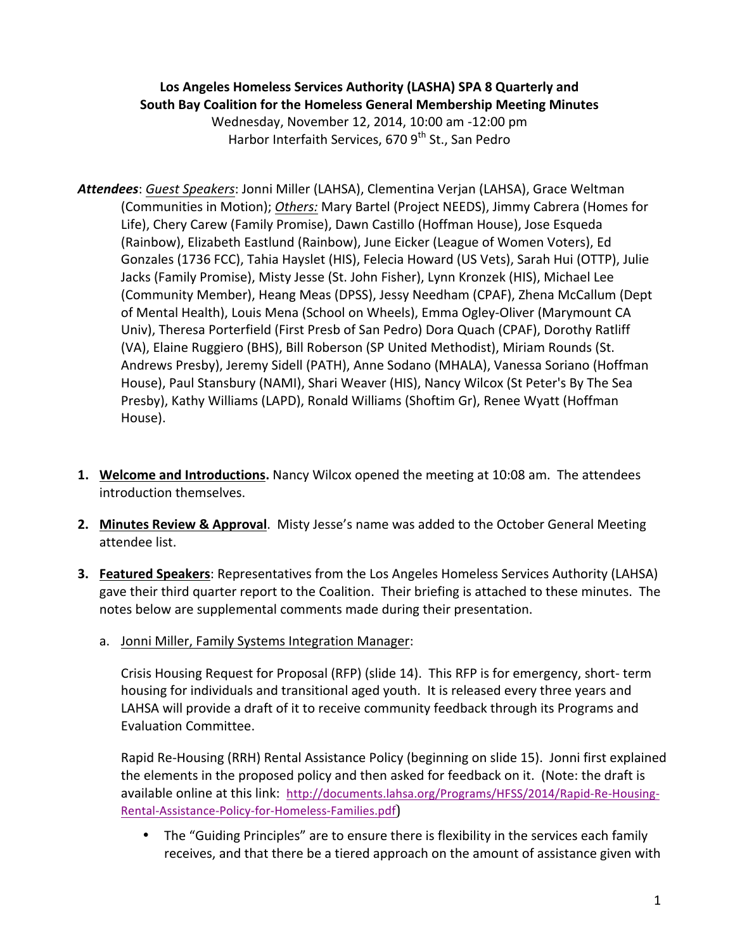#### Los Angeles Homeless Services Authority (LASHA) SPA 8 Quarterly and **South Bay Coalition for the Homeless General Membership Meeting Minutes**

Wednesday, November 12, 2014, 10:00 am -12:00 pm Harbor Interfaith Services, 670 9<sup>th</sup> St., San Pedro

- Attendees: Guest Speakers: Jonni Miller (LAHSA), Clementina Verjan (LAHSA), Grace Weltman (Communities in Motion); Others: Mary Bartel (Project NEEDS), Jimmy Cabrera (Homes for Life), Chery Carew (Family Promise), Dawn Castillo (Hoffman House), Jose Esqueda (Rainbow), Elizabeth Eastlund (Rainbow), June Eicker (League of Women Voters), Ed Gonzales (1736 FCC), Tahia Hayslet (HIS), Felecia Howard (US Vets), Sarah Hui (OTTP), Julie Jacks (Family Promise), Misty Jesse (St. John Fisher), Lynn Kronzek (HIS), Michael Lee (Community Member), Heang Meas (DPSS), Jessy Needham (CPAF), Zhena McCallum (Dept of Mental Health), Louis Mena (School on Wheels), Emma Ogley-Oliver (Marymount CA Univ), Theresa Porterfield (First Presb of San Pedro) Dora Quach (CPAF), Dorothy Ratliff (VA), Elaine Ruggiero (BHS), Bill Roberson (SP United Methodist), Miriam Rounds (St. Andrews Presby), Jeremy Sidell (PATH), Anne Sodano (MHALA), Vanessa Soriano (Hoffman House), Paul Stansbury (NAMI), Shari Weaver (HIS), Nancy Wilcox (St Peter's By The Sea Presby), Kathy Williams (LAPD), Ronald Williams (Shoftim Gr), Renee Wyatt (Hoffman House).
- **1. Welcome and Introductions.** Nancy Wilcox opened the meeting at 10:08 am. The attendees introduction themselves.
- 2. Minutes Review & Approval. Misty Jesse's name was added to the October General Meeting attendee list.
- **3. Featured Speakers:** Representatives from the Los Angeles Homeless Services Authority (LAHSA) gave their third quarter report to the Coalition. Their briefing is attached to these minutes. The notes below are supplemental comments made during their presentation.
	- a. Jonni Miller, Family Systems Integration Manager:

Crisis Housing Request for Proposal (RFP) (slide 14). This RFP is for emergency, short- term housing for individuals and transitional aged youth. It is released every three years and LAHSA will provide a draft of it to receive community feedback through its Programs and Evaluation Committee.

Rapid Re-Housing (RRH) Rental Assistance Policy (beginning on slide 15). Jonni first explained the elements in the proposed policy and then asked for feedback on it. (Note: the draft is available online at this link: http://documents.lahsa.org/Programs/HFSS/2014/Rapid-Re-Housing-Rental-Assistance-Policy-for-Homeless-Families.pdf)

• The "Guiding Principles" are to ensure there is flexibility in the services each family receives, and that there be a tiered approach on the amount of assistance given with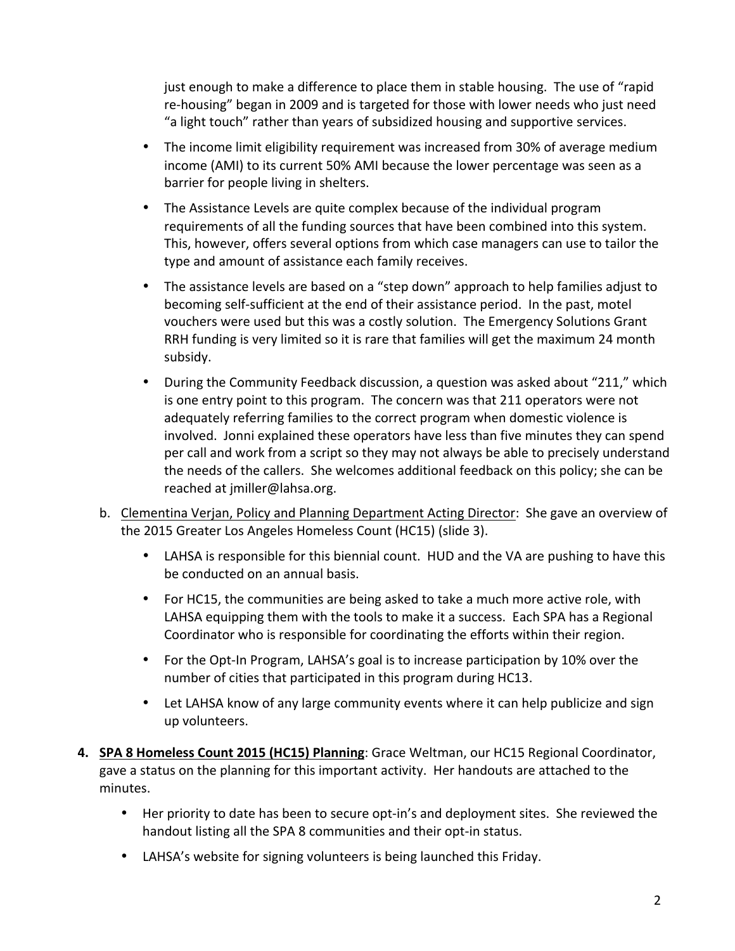just enough to make a difference to place them in stable housing. The use of "rapid re-housing" began in 2009 and is targeted for those with lower needs who just need "a light touch" rather than years of subsidized housing and supportive services.

- The income limit eligibility requirement was increased from 30% of average medium income (AMI) to its current 50% AMI because the lower percentage was seen as a barrier for people living in shelters.
- The Assistance Levels are quite complex because of the individual program requirements of all the funding sources that have been combined into this system. This, however, offers several options from which case managers can use to tailor the type and amount of assistance each family receives.
- The assistance levels are based on a "step down" approach to help families adjust to becoming self-sufficient at the end of their assistance period. In the past, motel vouchers were used but this was a costly solution. The Emergency Solutions Grant RRH funding is very limited so it is rare that families will get the maximum 24 month subsidy.
- During the Community Feedback discussion, a question was asked about "211," which is one entry point to this program. The concern was that 211 operators were not adequately referring families to the correct program when domestic violence is involved. Jonni explained these operators have less than five minutes they can spend per call and work from a script so they may not always be able to precisely understand the needs of the callers. She welcomes additional feedback on this policy; she can be reached at jmiller@lahsa.org.
- b. Clementina Verjan, Policy and Planning Department Acting Director: She gave an overview of the 2015 Greater Los Angeles Homeless Count (HC15) (slide 3).
	- LAHSA is responsible for this biennial count. HUD and the VA are pushing to have this be conducted on an annual basis.
	- For HC15, the communities are being asked to take a much more active role, with LAHSA equipping them with the tools to make it a success. Each SPA has a Regional Coordinator who is responsible for coordinating the efforts within their region.
	- For the Opt-In Program, LAHSA's goal is to increase participation by 10% over the number of cities that participated in this program during HC13.
	- Let LAHSA know of any large community events where it can help publicize and sign up volunteers.
- 4. SPA 8 Homeless Count 2015 (HC15) Planning: Grace Weltman, our HC15 Regional Coordinator, gave a status on the planning for this important activity. Her handouts are attached to the minutes.
	- Her priority to date has been to secure opt-in's and deployment sites. She reviewed the handout listing all the SPA 8 communities and their opt-in status.
	- LAHSA's website for signing volunteers is being launched this Friday.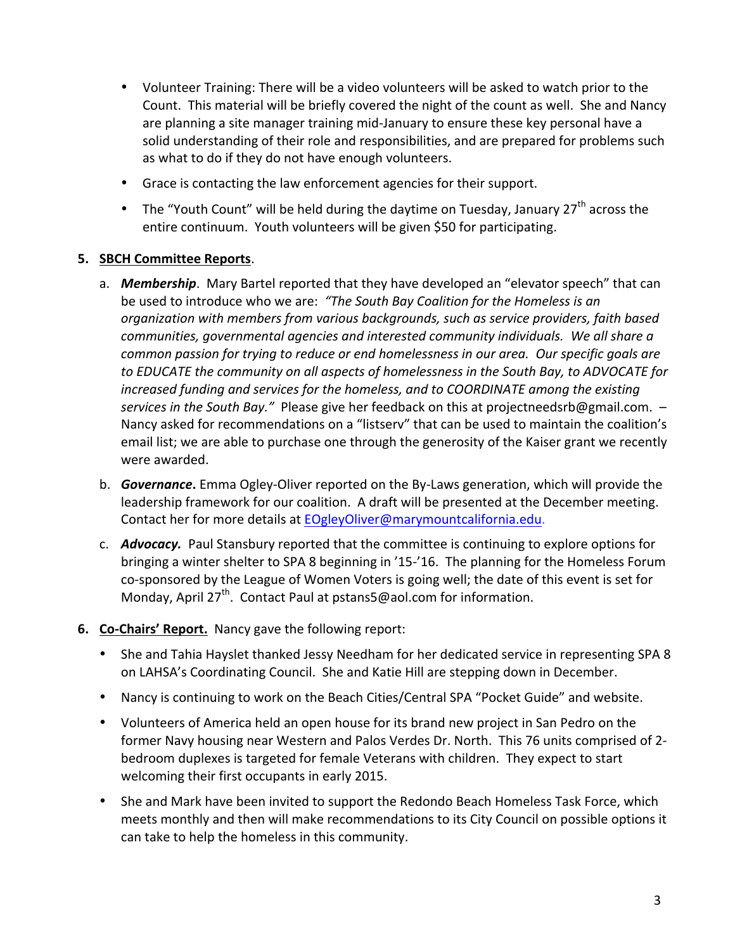- Volunteer Training: There will be a video volunteers will be asked to watch prior to the Count. This material will be briefly covered the night of the count as well. She and Nancy are planning a site manager training mid-January to ensure these key personal have a solid understanding of their role and responsibilities, and are prepared for problems such as what to do if they do not have enough volunteers.
- Grace is contacting the law enforcement agencies for their support.
- The "Youth Count" will be held during the daytime on Tuesday, January  $27<sup>th</sup>$  across the entire continuum. Youth volunteers will be given \$50 for participating.

#### **5. SBCH Committee Reports**.

- a. **Membership**. Mary Bartel reported that they have developed an "elevator speech" that can be used to introduce who we are: "The South Bay Coalition for the Homeless is an *organization* with members from various backgrounds, such as service providers, faith based communities, governmental agencies and interested community individuals. We all share a *common passion for trying to reduce or end homelessness in our area. Our specific goals are to* EDUCATE the community on all aspects of homelessness in the South Bay, to ADVOCATE for *increased funding and services for the homeless, and to COORDINATE among the existing* services in the South Bay." Please give her feedback on this at projectneedsrb@gmail.com.  $-$ Nancy asked for recommendations on a "listsery" that can be used to maintain the coalition's email list; we are able to purchase one through the generosity of the Kaiser grant we recently were awarded.
- b. **Governance**. Emma Ogley-Oliver reported on the By-Laws generation, which will provide the leadership framework for our coalition. A draft will be presented at the December meeting. Contact her for more details at EOgleyOliver@marymountcalifornia.edu.
- c. **Advocacy.** Paul Stansbury reported that the committee is continuing to explore options for bringing a winter shelter to SPA 8 beginning in '15-'16. The planning for the Homeless Forum co-sponsored by the League of Women Voters is going well; the date of this event is set for Monday, April  $27^{th}$ . Contact Paul at pstans5@aol.com for information.
- **6. Co-Chairs' Report.** Nancy gave the following report:
	- She and Tahia Hayslet thanked Jessy Needham for her dedicated service in representing SPA 8 on LAHSA's Coordinating Council. She and Katie Hill are stepping down in December.
	- Nancy is continuing to work on the Beach Cities/Central SPA "Pocket Guide" and website.
	- Volunteers of America held an open house for its brand new project in San Pedro on the former Navy housing near Western and Palos Verdes Dr. North. This 76 units comprised of 2bedroom duplexes is targeted for female Veterans with children. They expect to start welcoming their first occupants in early 2015.
	- She and Mark have been invited to support the Redondo Beach Homeless Task Force, which meets monthly and then will make recommendations to its City Council on possible options it can take to help the homeless in this community.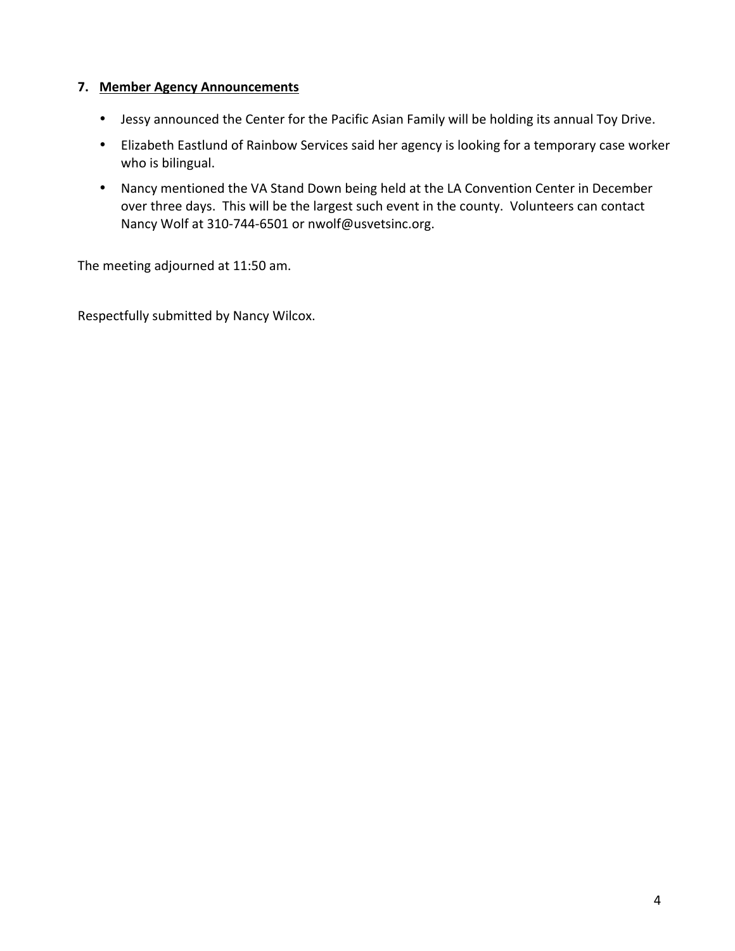#### **7. Member Agency Announcements**

- Jessy announced the Center for the Pacific Asian Family will be holding its annual Toy Drive.
- Elizabeth Eastlund of Rainbow Services said her agency is looking for a temporary case worker who is bilingual.
- Nancy mentioned the VA Stand Down being held at the LA Convention Center in December over three days. This will be the largest such event in the county. Volunteers can contact Nancy Wolf at 310-744-6501 or nwolf@usvetsinc.org.

The meeting adjourned at 11:50 am.

Respectfully submitted by Nancy Wilcox.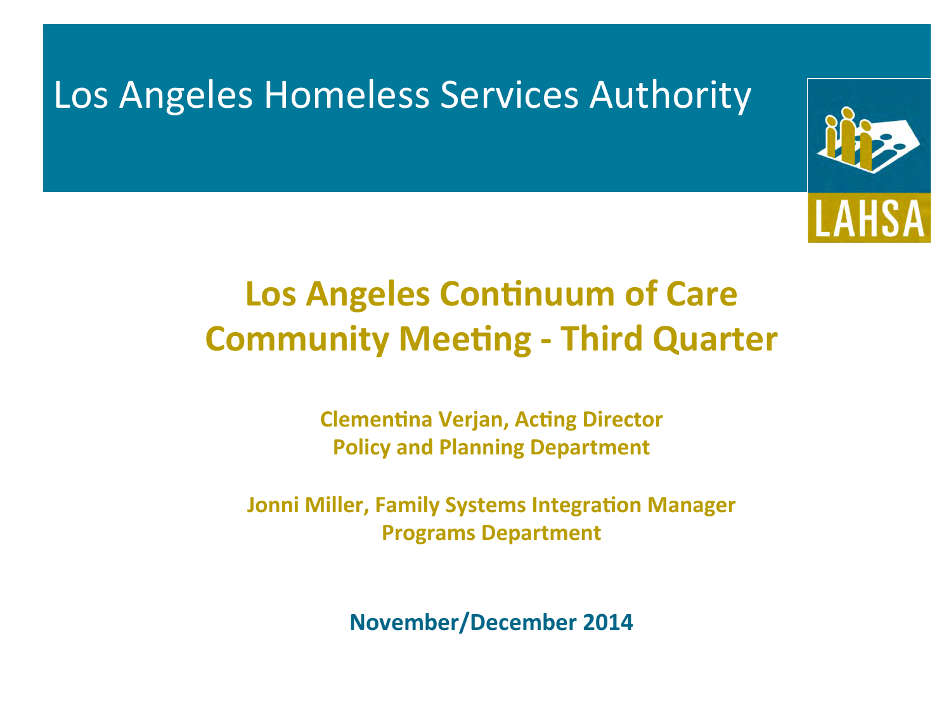### Los Angeles Homeless Services Authority



### **Los Angeles Continuum of Care Community Meeting - Third Quarter**

**Clementina Verjan, Acting Director Policy and Planning Department** 

**Jonni Miller, Family Systems Integration Manager Programs Department** 

November/December 2014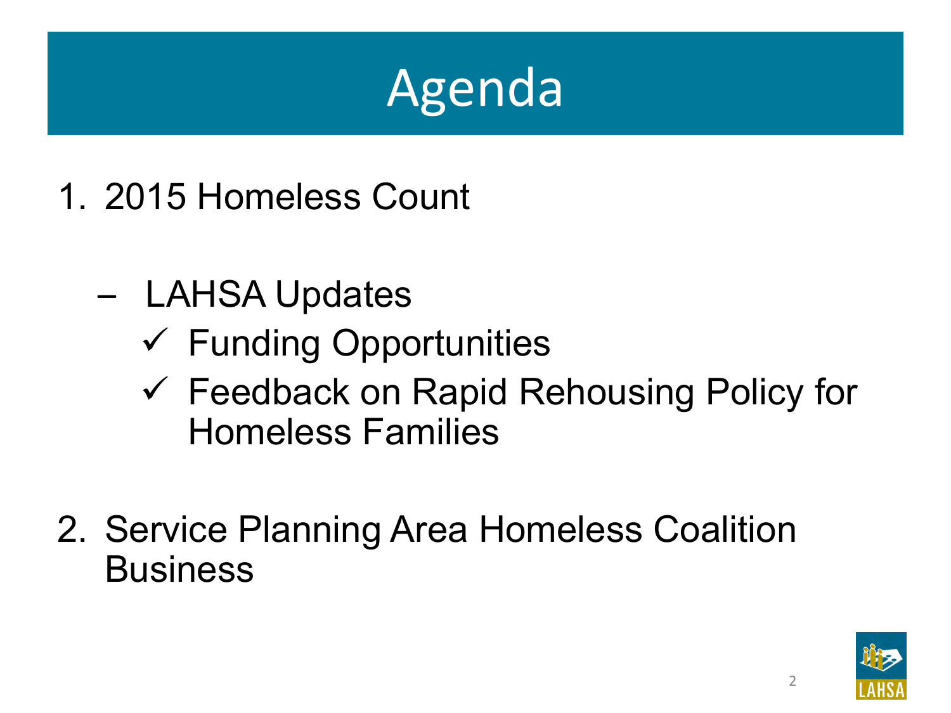## Agenda

- 1. 2015 Homeless Count
	- LAHSA Updates
		- $\checkmark$  Funding Opportunities
		- $\checkmark$  Feedback on Rapid Rehousing Policy for Homeless Families
- 2. Service Planning Area Homeless Coalition **Business**

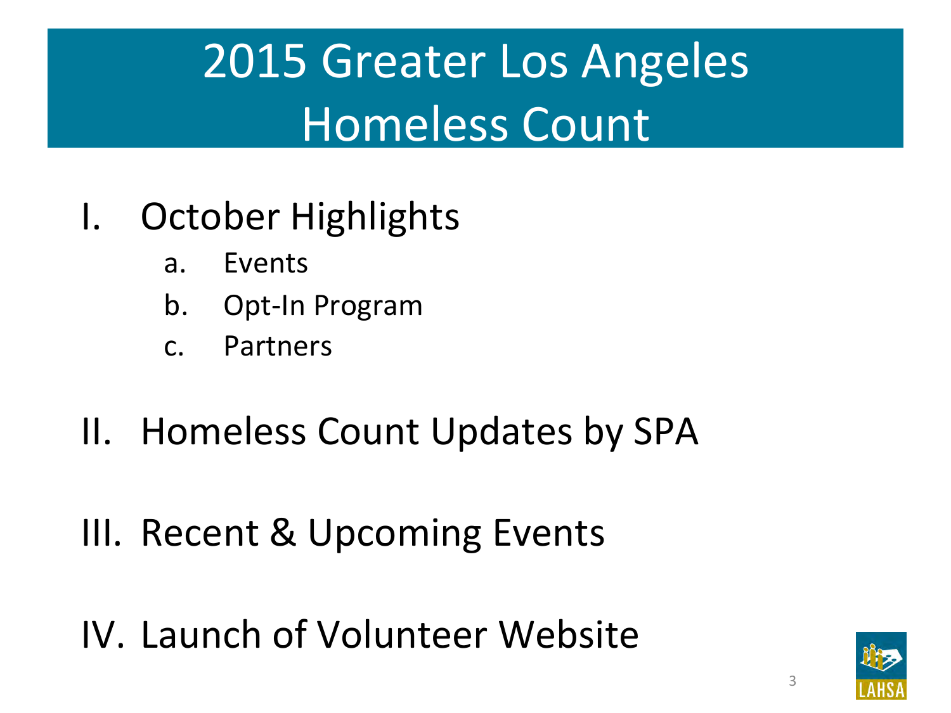### 2015 Greater Los Angeles Homeless Count

### I. October Highlights

- a. Events
- b. Opt-In Program
- c. Partners
- II. Homeless Count Updates by SPA
- III. Recent & Upcoming Events
- IV. Launch of Volunteer Website

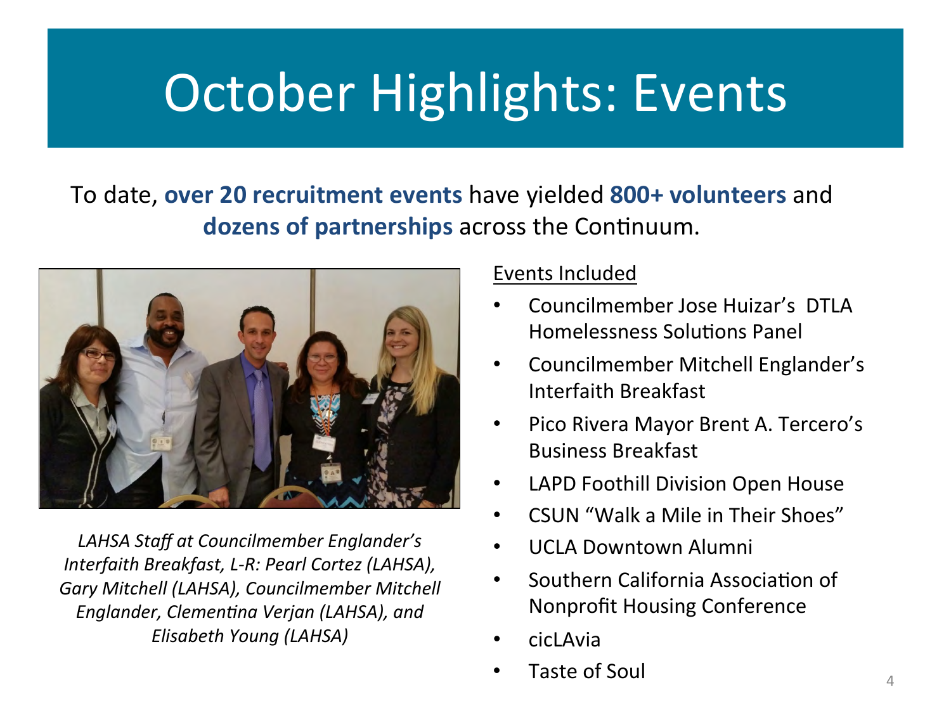# October Highlights: Events

### To date, **over 20 recruitment events** have yielded **800+ volunteers** and **dozens of partnerships** across the Continuum.



LAHSA Staff at Councilmember Englander's *Interfaith Breakfast, L-R: Pearl Cortez (LAHSA),* Gary Mitchell (LAHSA), Councilmember Mitchell *Englander, Clementina Verjan (LAHSA), and Elisabeth Young (LAHSA)* 

#### Events Included

- Councilmember Jose Huizar's DTLA Homelessness Solutions Panel
- Councilmember Mitchell Englander's Interfaith Breakfast
- Pico Rivera Mayor Brent A. Tercero's Business Breakfast
- LAPD Foothill Division Open House
- CSUN "Walk a Mile in Their Shoes"
- UCLA Downtown Alumni
- Southern California Association of Nonprofit Housing Conference
- cicLAvia
- **Taste of Soul**  $\frac{4}{4}$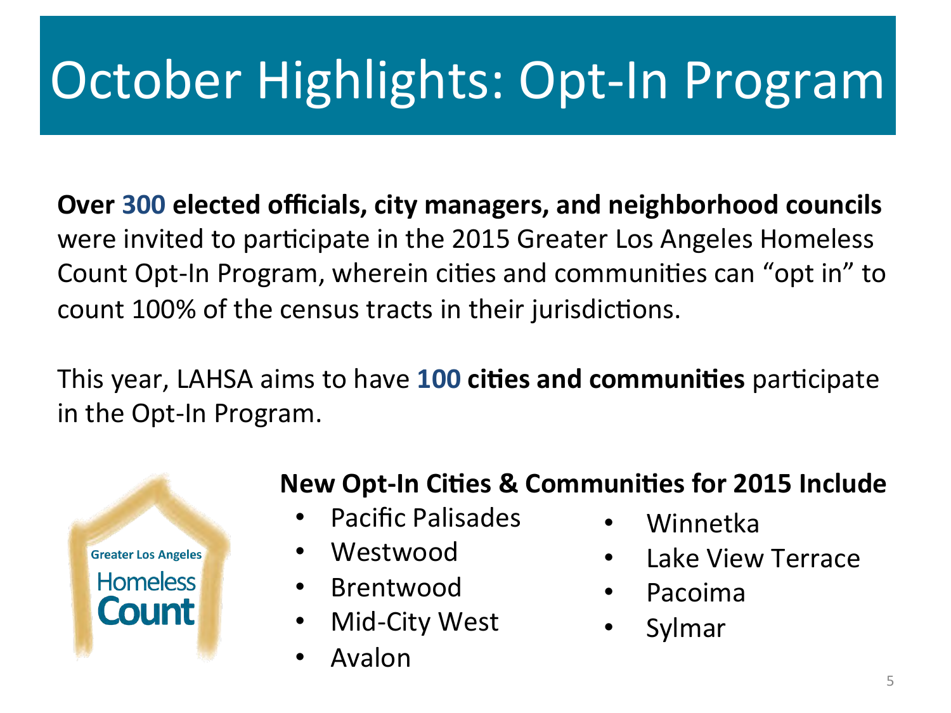# October Highlights: Opt-In Program

**Over 300 elected officials, city managers, and neighborhood councils** were invited to participate in the 2015 Greater Los Angeles Homeless Count Opt-In Program, wherein cities and communities can "opt in" to count 100% of the census tracts in their jurisdictions.

This year, LAHSA aims to have **100 cities and communities** participate in the Opt-In Program.



### **New Opt-In Cities & Communities for 2015 Include**

- Pacific Palisades
- Westwood
- Brentwood
- Mid-City West
- Avalon
- Winnetka
- Lake View Terrace
- Pacoima
- Sylmar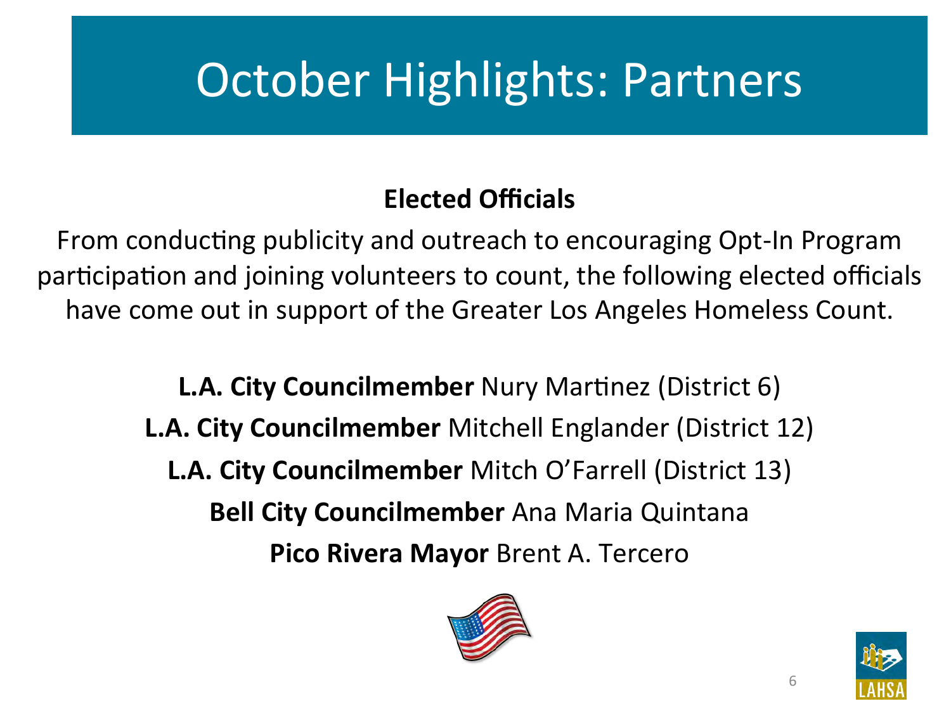### **October Highlights: Partners**

### **Elected Officials**

From conducting publicity and outreach to encouraging Opt-In Program participation and joining volunteers to count, the following elected officials have come out in support of the Greater Los Angeles Homeless Count.

> **L.A. City Councilmember** Nury Martinez (District 6) **L.A. City Councilmember** Mitchell Englander (District 12) **L.A. City Councilmember** Mitch O'Farrell (District 13) **Bell City Councilmember** Ana Maria Quintana **Pico Rivera Mayor Brent A. Tercero**



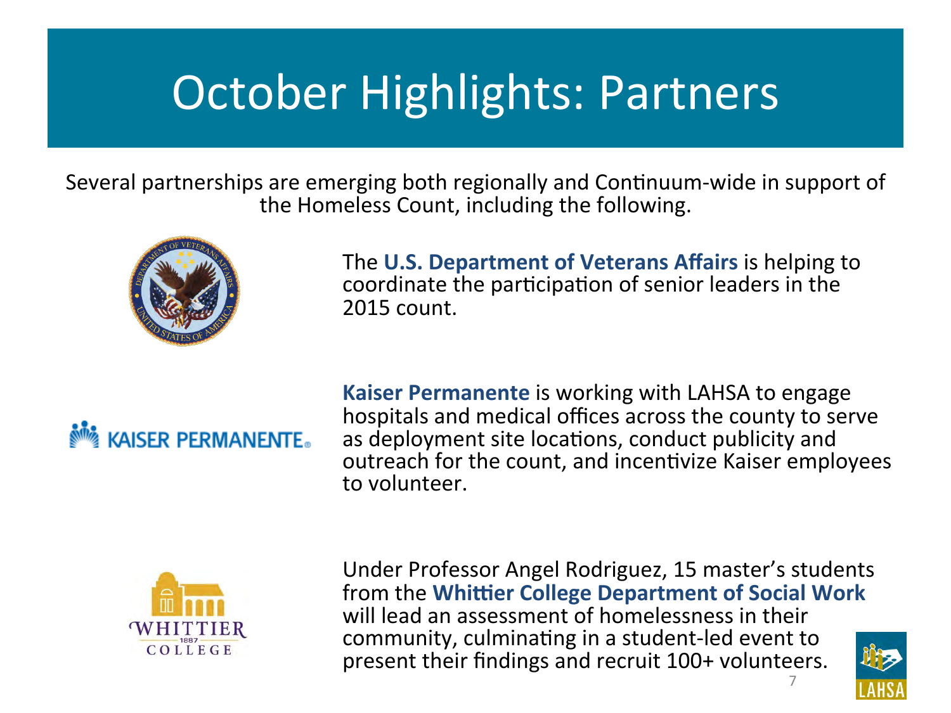### October Highlights: Partners

Several partnerships are emerging both regionally and Continuum-wide in support of the Homeless Count, including the following.





The **U.S. Department of Veterans Affairs** is helping to coordinate the participation of senior leaders in the 2015 count.

**Kaiser Permanente** is working with LAHSA to engage<br>hospitals and medical offices across the county to serve<br>**MAILAGER PERMANENTE.** as deployment site locations, conduct publicity and as deployment site locations, conduct publicity and outreach for the count, and incentivize Kaiser employees to volunteer.



Under Professor Angel Rodriguez, 15 master's students from the **Whittier College Department of Social Work** will lead an assessment of homelessness in their community, culminating in a student-led event to present their findings and recruit 100+ volunteers.

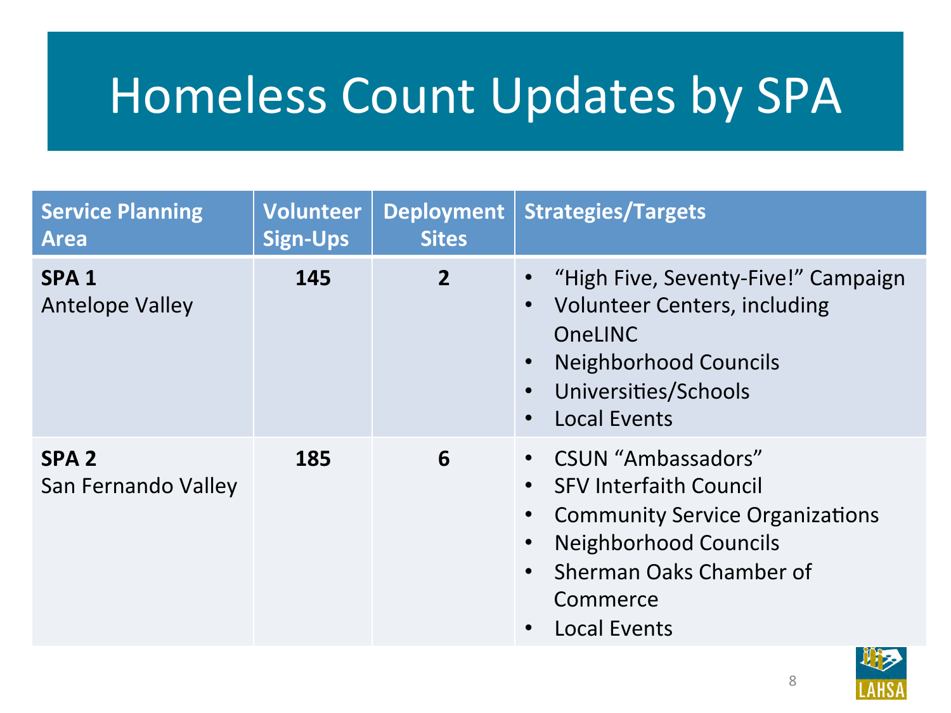### Homeless Count Updates by SPA

| <b>Service Planning</b><br><b>Area</b>     | <b>Volunteer</b><br><b>Sign-Ups</b> | <b>Deployment</b><br><b>Sites</b> | <b>Strategies/Targets</b>                                                                                                                                                                                                                         |
|--------------------------------------------|-------------------------------------|-----------------------------------|---------------------------------------------------------------------------------------------------------------------------------------------------------------------------------------------------------------------------------------------------|
| SPA <sub>1</sub><br><b>Antelope Valley</b> | 145                                 | $\overline{2}$                    | "High Five, Seventy-Five!" Campaign<br>Volunteer Centers, including<br>$\bullet$<br><b>OneLINC</b><br><b>Neighborhood Councils</b><br>Universities/Schools<br>$\bullet$<br><b>Local Events</b>                                                    |
| SPA <sub>2</sub><br>San Fernando Valley    | 185                                 | 6                                 | • CSUN "Ambassadors"<br><b>SFV Interfaith Council</b><br>$\bullet$<br><b>Community Service Organizations</b><br><b>Neighborhood Councils</b><br>$\bullet$<br>Sherman Oaks Chamber of<br>$\bullet$<br>Commerce<br><b>Local Events</b><br>$\bullet$ |

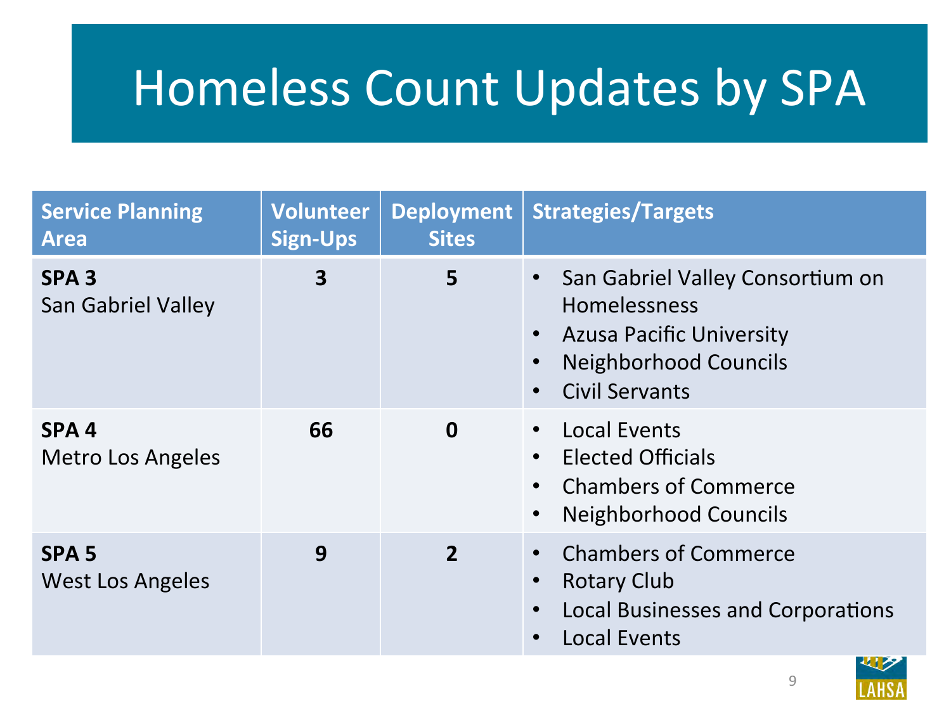### Homeless Count Updates by SPA

| <b>Service Planning</b><br><b>Area</b>        | <b>Volunteer</b><br><b>Sign-Ups</b> | <b>Deployment</b><br><b>Sites</b> | <b>Strategies/Targets</b>                                                                                                                                              |
|-----------------------------------------------|-------------------------------------|-----------------------------------|------------------------------------------------------------------------------------------------------------------------------------------------------------------------|
| SPA <sub>3</sub><br><b>San Gabriel Valley</b> | 3                                   | 5                                 | San Gabriel Valley Consortium on<br>$\bullet$<br>Homelessness<br><b>Azusa Pacific University</b><br>$\bullet$<br><b>Neighborhood Councils</b><br><b>Civil Servants</b> |
| SPA <sub>4</sub><br><b>Metro Los Angeles</b>  | 66                                  | $\mathbf 0$                       | <b>Local Events</b><br><b>Elected Officials</b><br>$\bullet$<br><b>Chambers of Commerce</b><br><b>Neighborhood Councils</b><br>$\bullet$                               |
| <b>SPA 5</b><br><b>West Los Angeles</b>       | 9                                   | $\overline{2}$                    | <b>Chambers of Commerce</b><br>$\bullet$<br><b>Rotary Club</b><br>$\bullet$<br><b>Local Businesses and Corporations</b><br>$\bullet$<br><b>Local Events</b>            |

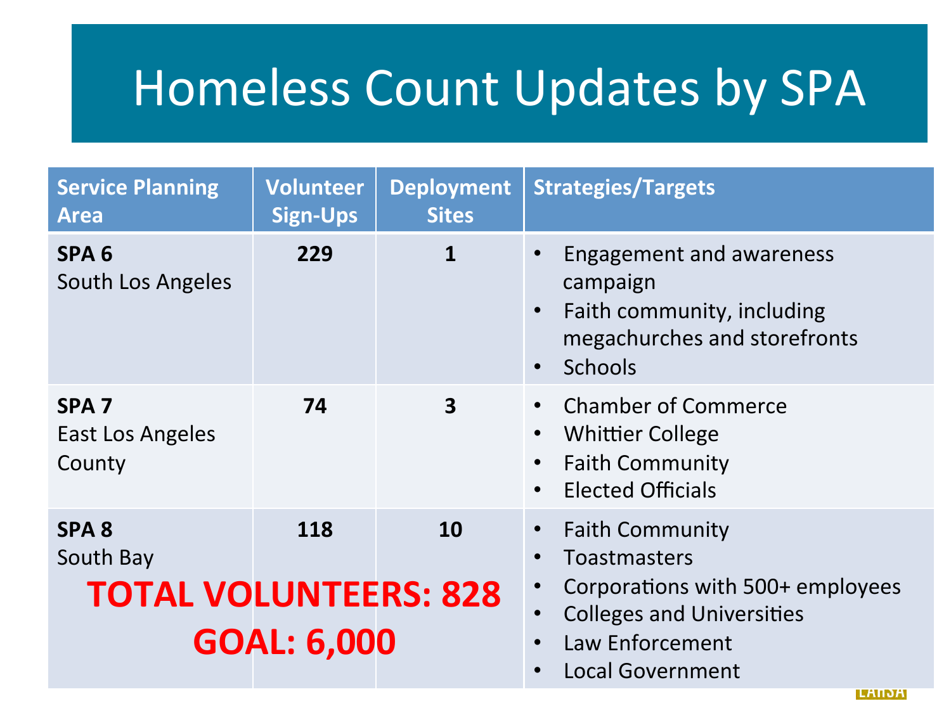### Homeless Count Updates by SPA

| <b>Service Planning</b><br><b>Area</b>                        | <b>Volunteer</b><br><b>Sign-Ups</b> | <b>Deployment</b><br><b>Sites</b> | <b>Strategies/Targets</b>                                                                                                                                    |
|---------------------------------------------------------------|-------------------------------------|-----------------------------------|--------------------------------------------------------------------------------------------------------------------------------------------------------------|
| SPA <sub>6</sub><br>South Los Angeles                         | 229                                 | 1                                 | <b>Engagement and awareness</b><br>campaign<br>Faith community, including<br>$\bullet$<br>megachurches and storefronts<br><b>Schools</b><br>$\bullet$        |
| SPA <sub>7</sub><br>East Los Angeles<br>County                | 74                                  | $\overline{\mathbf{3}}$           | <b>Chamber of Commerce</b><br><b>Whittier College</b><br><b>Faith Community</b><br><b>Elected Officials</b>                                                  |
| SPA <sub>8</sub><br>South Bay<br><b>TOTAL VOLUNTEERS: 828</b> | 118<br><b>GOAL: 6,000</b>           | <b>10</b>                         | <b>Faith Community</b><br>Toastmasters<br>Corporations with 500+ employees<br><b>Colleges and Universities</b><br>Law Enforcement<br><b>Local Government</b> |

ЕАПОА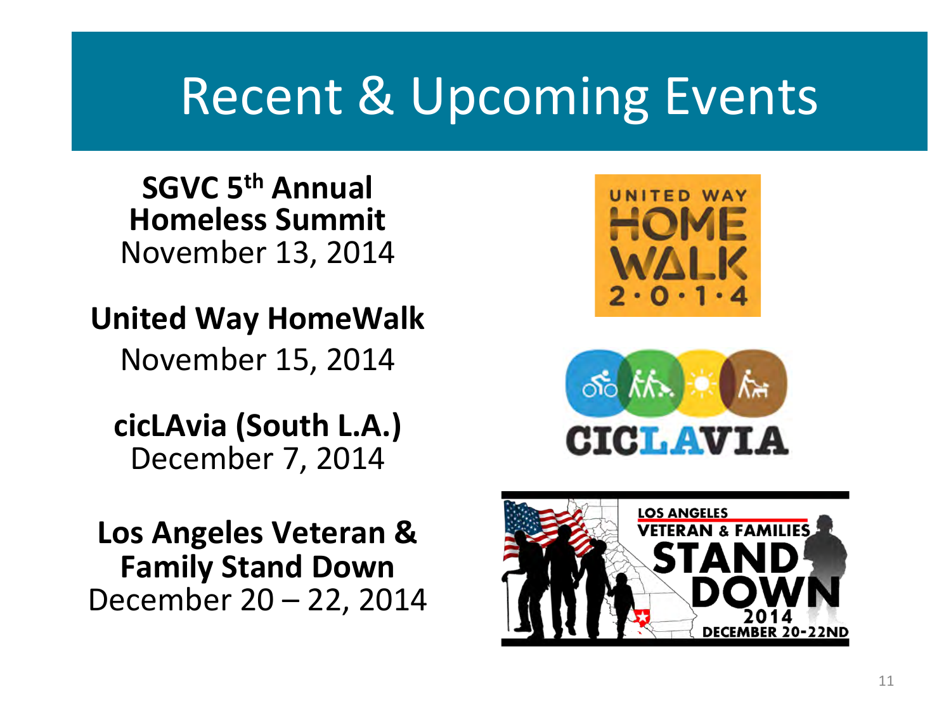### Recent & Upcoming Events

**SGVC 5<sup>th</sup> Annual Homeless Summit** November 13, 2014

**United Way HomeWalk** November 15, 2014 

**cicLAvia (South L.A.)** December 7, 2014

**Los Angeles Veteran & Family Stand Down** December  $20 - 22$ , 2014





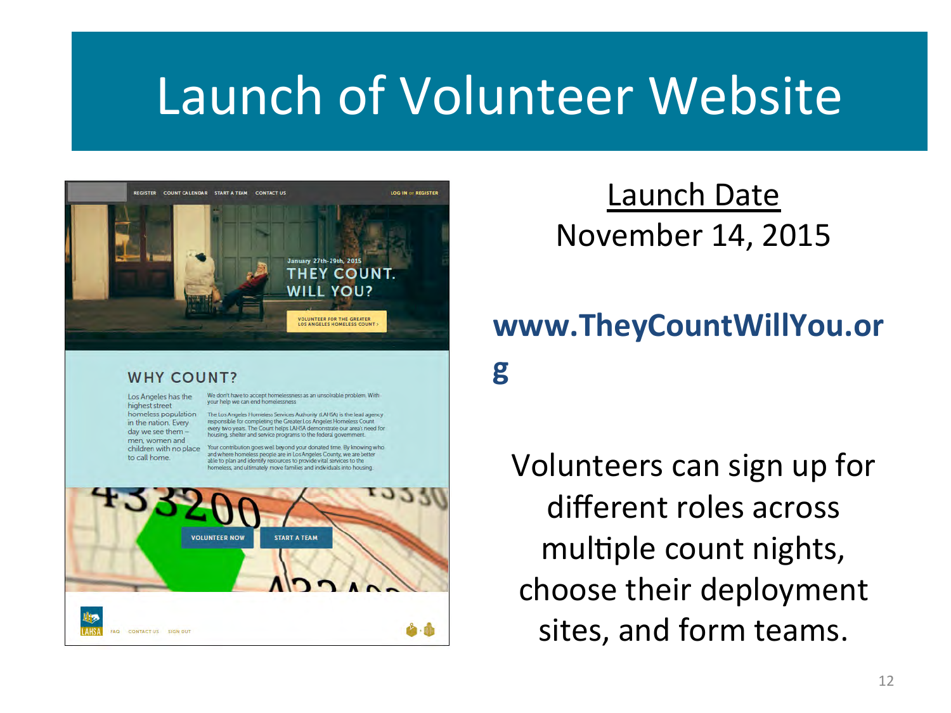### Launch of Volunteer Website



#### **WHY COUNT?**

Los Angeles has the highest street homeless population in the nation. Every day we see them  $$ men, women and to call home.

We don't have to accept homelessness as an unsolvable problem. With your help we can end home

The Los Angeles Homeless Services Authority (LAHSA) is the lead agency responsible for completing the Greater Los Angeles Homeless Count<br>every two years. The Count helps LAHSA demonstrate our area's need for housing, shelter and service programs to the federal government.

children with no place Your contribution goes well beyond your donated time. By knowing who and where homeless people are in Los Angeles County, we are bette<br>able to plan and identify resources to provide vital services to the homeless, and ultimately move families and individuals into housing



Launch Date November 14, 2015 

### **www.TheyCountWillYou.or g**

Volunteers can sign up for different roles across multiple count nights, choose their deployment sites, and form teams.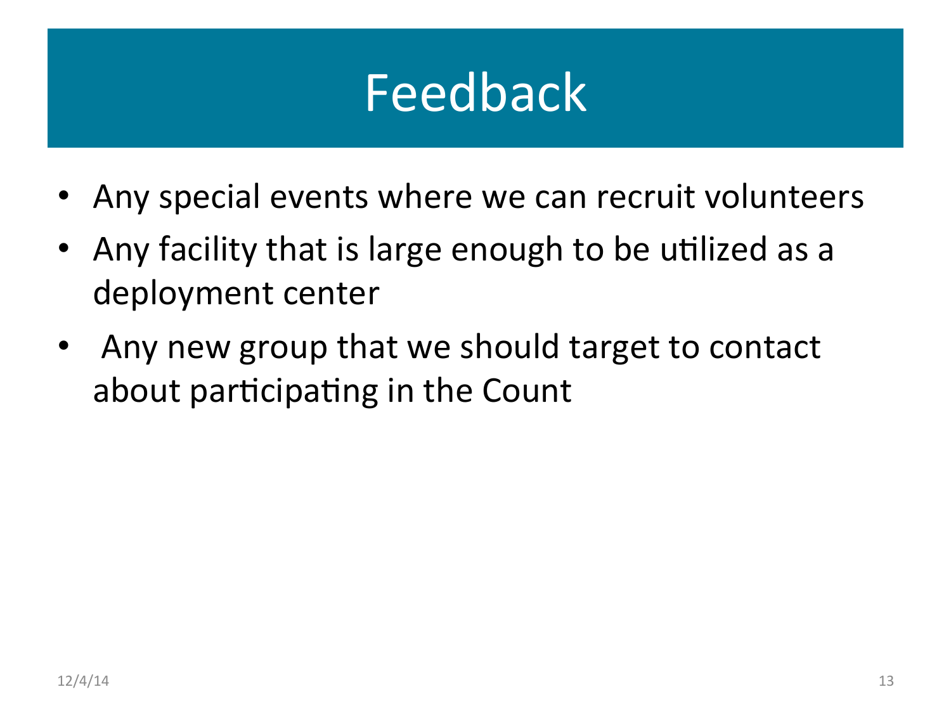### Feedback

- Any special events where we can recruit volunteers
- Any facility that is large enough to be utilized as a deployment center
- Any new group that we should target to contact about participating in the Count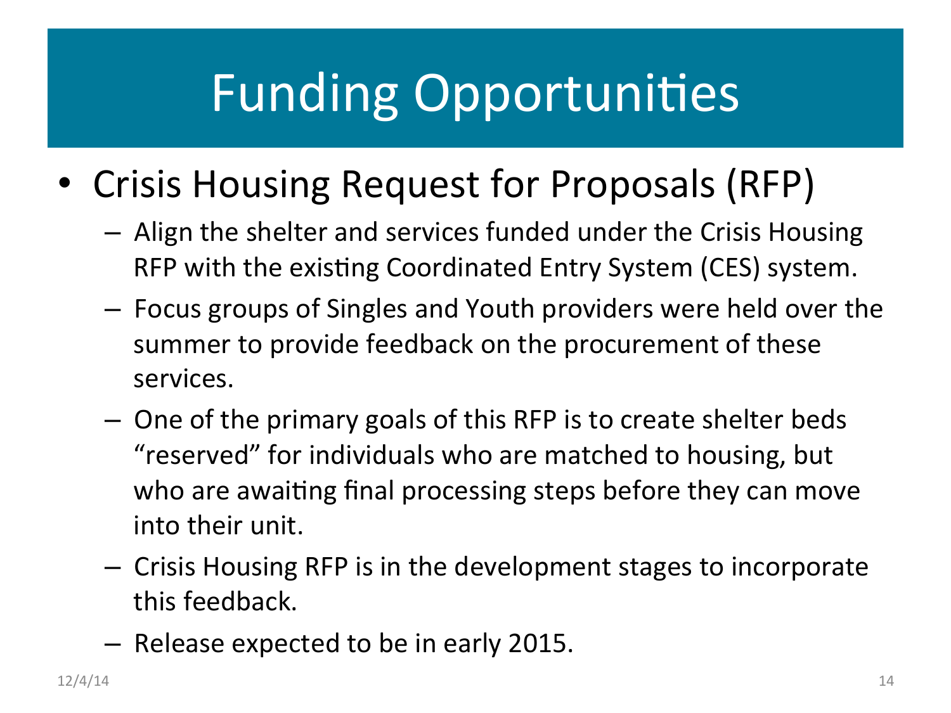# **Funding Opportunities**

- Crisis Housing Request for Proposals (RFP)
	- $-$  Align the shelter and services funded under the Crisis Housing RFP with the existing Coordinated Entry System (CES) system.
	- $-$  Focus groups of Singles and Youth providers were held over the summer to provide feedback on the procurement of these services.
	- $-$  One of the primary goals of this RFP is to create shelter beds "reserved" for individuals who are matched to housing, but who are awaiting final processing steps before they can move into their unit.
	- $-$  Crisis Housing RFP is in the development stages to incorporate this feedback.
	- $-$  Release expected to be in early 2015.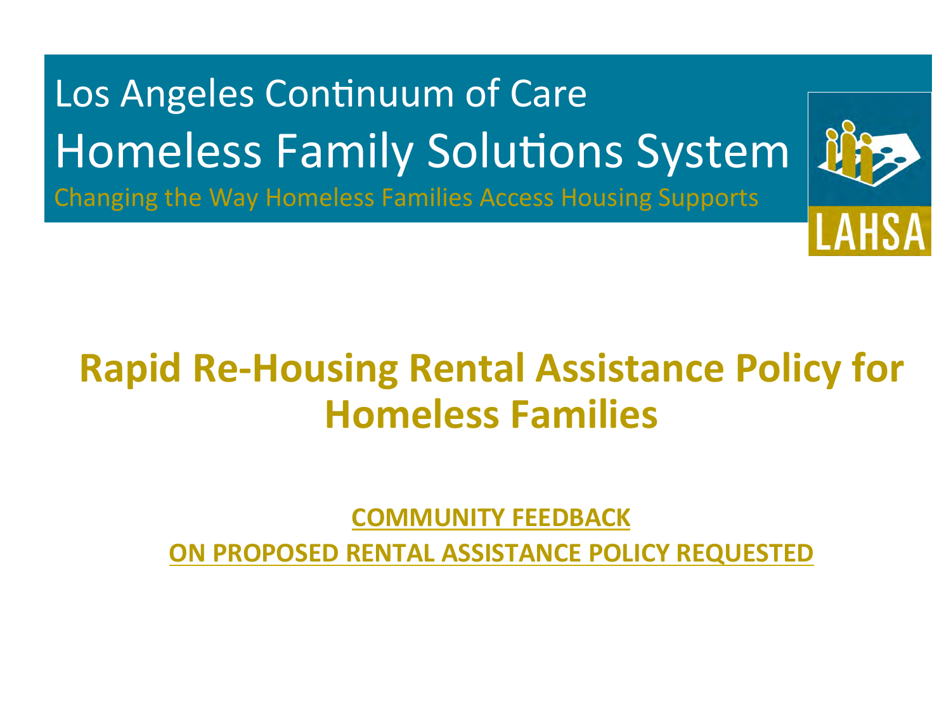Los Angeles Continuum of Care Homeless Family Solutions System Changing the Way Homeless Families Access Housing Supports



### **Rapid Re-Housing Rental Assistance Policy for Homeless Families**

**COMMUNITY FEEDBACK** 

**ON PROPOSED RENTAL ASSISTANCE POLICY REQUESTED**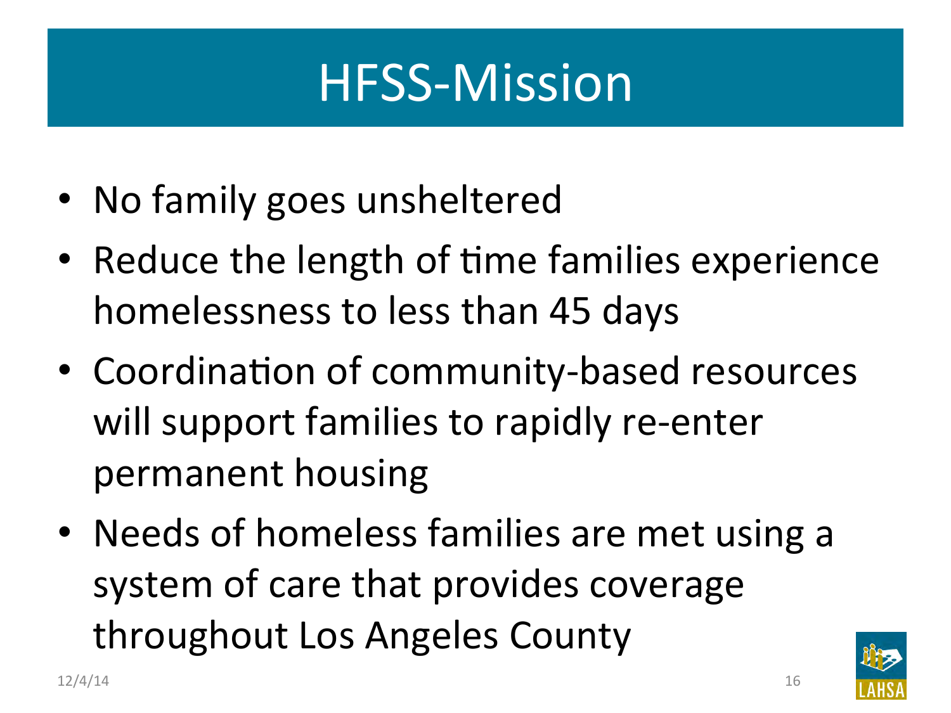### HFSS-Mission

- No family goes unsheltered
- Reduce the length of time families experience homelessness to less than 45 days
- Coordination of community-based resources will support families to rapidly re-enter permanent housing
- Needs of homeless families are met using a system of care that provides coverage throughout Los Angeles County

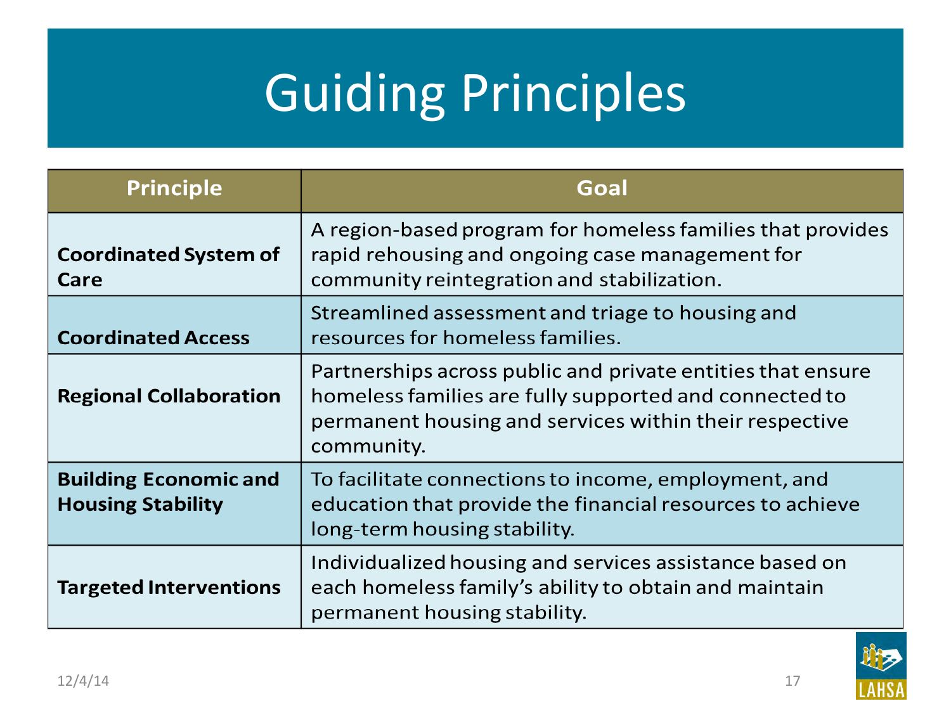# Guiding Principles

| <b>Principle</b>                                         | Goal                                                                                                                                                                                          |
|----------------------------------------------------------|-----------------------------------------------------------------------------------------------------------------------------------------------------------------------------------------------|
| <b>Coordinated System of</b><br>Care                     | A region-based program for homeless families that provides<br>rapid rehousing and ongoing case management for<br>community reintegration and stabilization.                                   |
| <b>Coordinated Access</b>                                | Streamlined assessment and triage to housing and<br>resources for homeless families.                                                                                                          |
| <b>Regional Collaboration</b>                            | Partnerships across public and private entities that ensure<br>homeless families are fully supported and connected to<br>permanent housing and services within their respective<br>community. |
| <b>Building Economic and</b><br><b>Housing Stability</b> | To facilitate connections to income, employment, and<br>education that provide the financial resources to achieve<br>long-term housing stability.                                             |
| <b>Targeted Interventions</b>                            | Individualized housing and services assistance based on<br>each homeless family's ability to obtain and maintain<br>permanent housing stability.                                              |

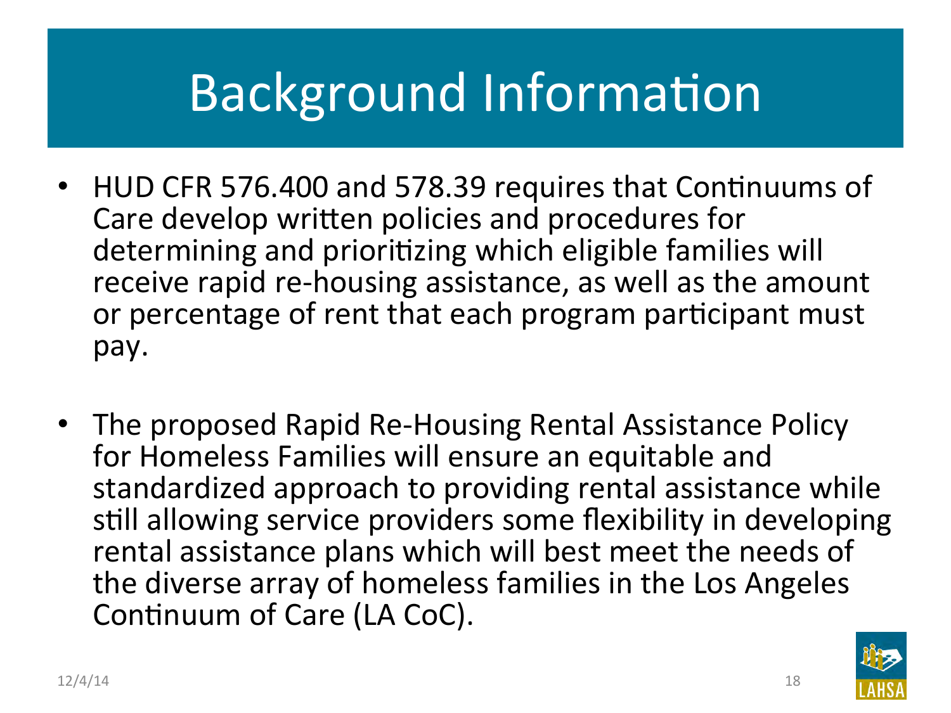# Background Information

- HUD CFR 576.400 and 578.39 requires that Continuums of Care develop written policies and procedures for determining and prioritizing which eligible families will receive rapid re-housing assistance, as well as the amount or percentage of rent that each program participant must pay.
- The proposed Rapid Re-Housing Rental Assistance Policy for Homeless Families will ensure an equitable and standardized approach to providing rental assistance while still allowing service providers some flexibility in developing rental assistance plans which will best meet the needs of the diverse array of homeless families in the Los Angeles Continuum of Care (LA CoC).

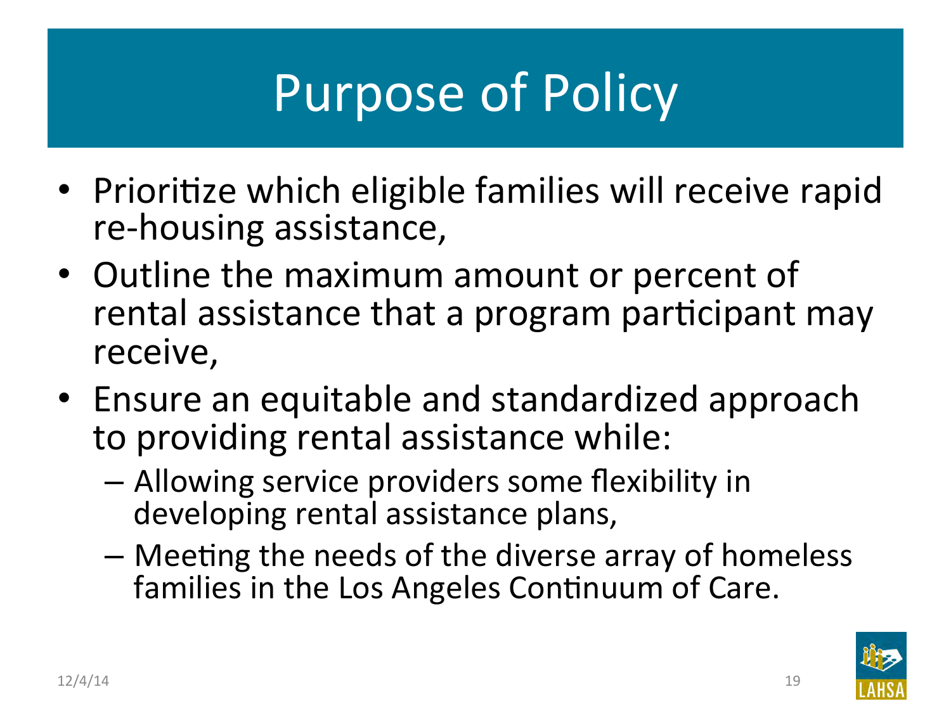# Purpose of Policy

- Prioritize which eligible families will receive rapid re-housing assistance,
- Outline the maximum amount or percent of rental assistance that a program participant may receive,
- Ensure an equitable and standardized approach to providing rental assistance while:
	- $-$  Allowing service providers some flexibility in developing rental assistance plans,
	- $-$  Meeting the needs of the diverse array of homeless families in the Los Angeles Continuum of Care.

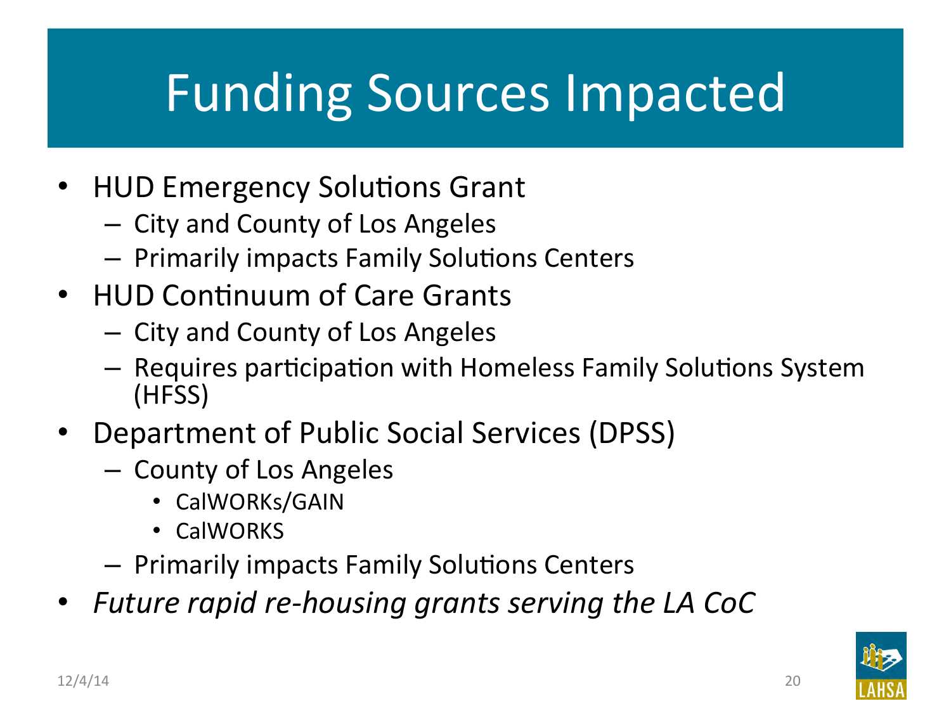## **Funding Sources Impacted**

- HUD Emergency Solutions Grant
	- City and County of Los Angeles
	- $-$  Primarily impacts Family Solutions Centers
- HUD Continuum of Care Grants
	- $-$  City and County of Los Angeles
	- $-$  Requires participation with Homeless Family Solutions System (HFSS)
- Department of Public Social Services (DPSS)
	- County of Los Angeles
		- CalWORKs/GAIN
		- **CalWORKS**
	- $-$  Primarily impacts Family Solutions Centers
- *Future rapid re-housing grants serving the LA CoC*

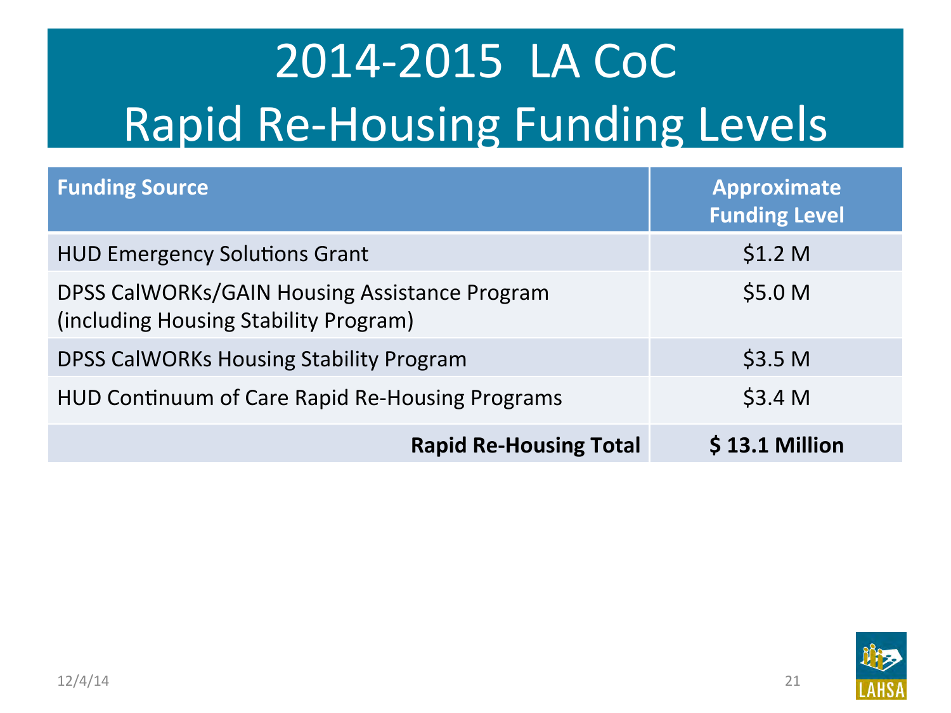# 2014-2015 LA CoC Rapid Re-Housing Funding Levels

| <b>Funding Source</b>                                                                  | Approximate<br><b>Funding Level</b> |
|----------------------------------------------------------------------------------------|-------------------------------------|
| <b>HUD Emergency Solutions Grant</b>                                                   | \$1.2 <sub>M</sub>                  |
| DPSS CalWORKs/GAIN Housing Assistance Program<br>(including Housing Stability Program) | \$5.0 M                             |
| <b>DPSS CalWORKs Housing Stability Program</b>                                         | \$3.5 <sub>M</sub>                  |
| HUD Continuum of Care Rapid Re-Housing Programs                                        | \$3.4 <sub>M</sub>                  |
| <b>Rapid Re-Housing Total</b>                                                          | \$13.1 Million                      |

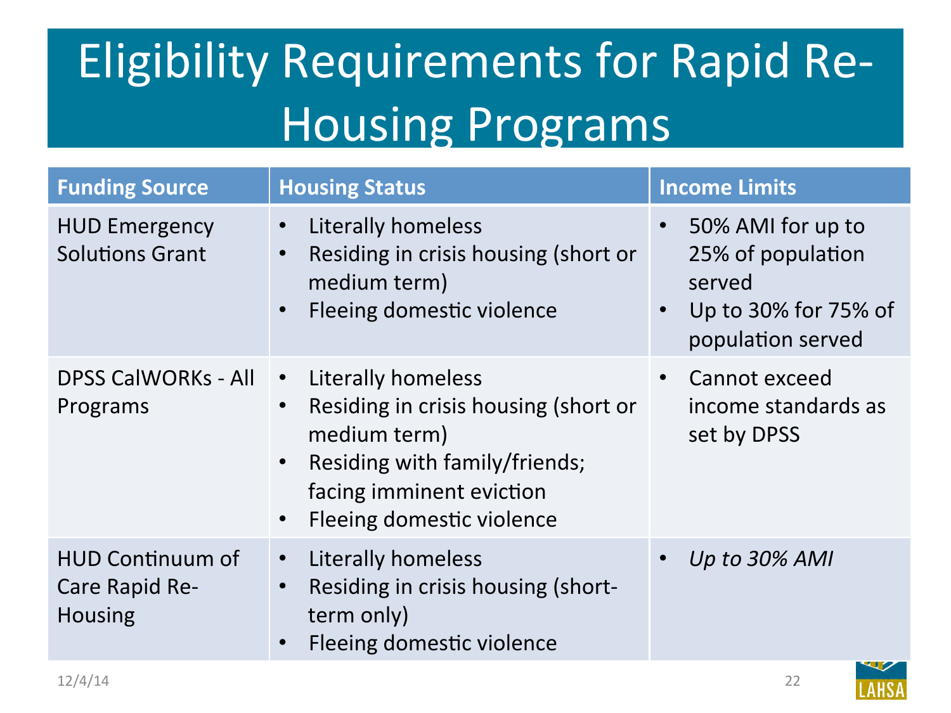# **Eligibility Requirements for Rapid Re-**Housing Programs

| <b>Funding Source</b>                                       | <b>Housing Status</b>                                                                                                                                                                                                    | <b>Income Limits</b>                                                                                       |
|-------------------------------------------------------------|--------------------------------------------------------------------------------------------------------------------------------------------------------------------------------------------------------------------------|------------------------------------------------------------------------------------------------------------|
| <b>HUD Emergency</b><br><b>Solutions Grant</b>              | Literally homeless<br>$\bullet$<br>Residing in crisis housing (short or<br>$\bullet$<br>medium term)<br>Fleeing domestic violence<br>$\bullet$                                                                           | 50% AMI for up to<br>$\bullet$<br>25% of population<br>served<br>Up to 30% for 75% of<br>population served |
| <b>DPSS CalWORKs - All</b><br>Programs                      | Literally homeless<br>$\bullet$<br>Residing in crisis housing (short or<br>$\bullet$<br>medium term)<br>Residing with family/friends;<br>$\bullet$<br>facing imminent eviction<br>Fleeing domestic violence<br>$\bullet$ | Cannot exceed<br>$\bullet$<br>income standards as<br>set by DPSS                                           |
| <b>HUD Continuum of</b><br>Care Rapid Re-<br><b>Housing</b> | Literally homeless<br>$\bullet$<br>Residing in crisis housing (short-<br>$\bullet$<br>term only)<br>Fleeing domestic violence<br>$\bullet$                                                                               | Up to 30% AMI                                                                                              |

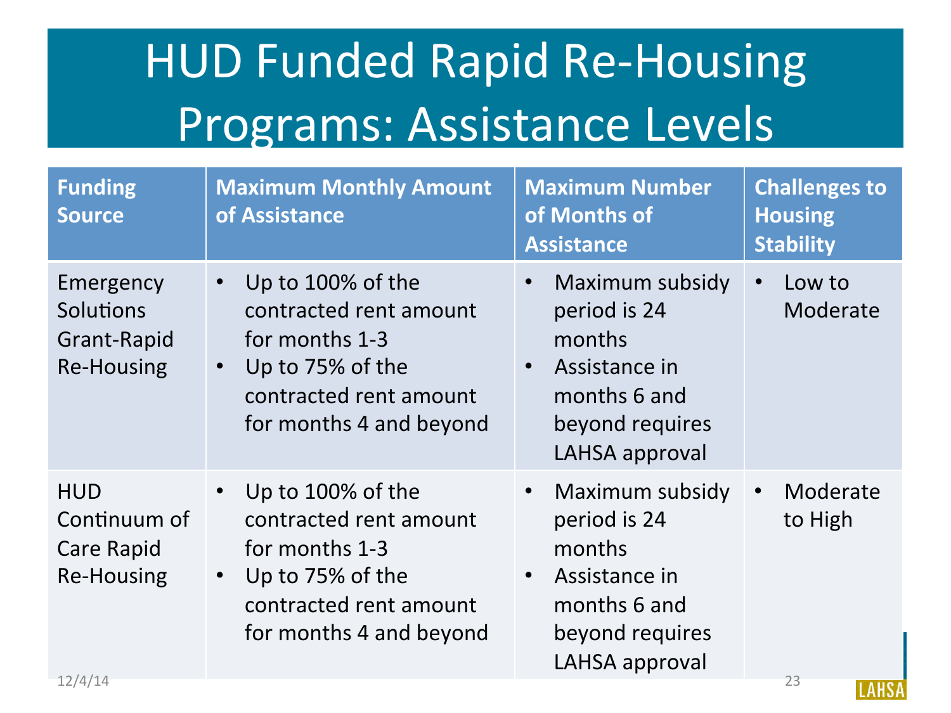## **HUD Funded Rapid Re-Housing** Programs: Assistance Levels

| <b>Funding</b><br><b>Source</b>                               | <b>Maximum Monthly Amount</b><br>of Assistance                                                                                         | <b>Maximum Number</b><br>of Months of<br><b>Assistance</b>                                                                                | <b>Challenges to</b><br><b>Housing</b><br><b>Stability</b> |
|---------------------------------------------------------------|----------------------------------------------------------------------------------------------------------------------------------------|-------------------------------------------------------------------------------------------------------------------------------------------|------------------------------------------------------------|
| Emergency<br>Solutions<br>Grant-Rapid<br><b>Re-Housing</b>    | Up to 100% of the<br>contracted rent amount<br>for months 1-3<br>Up to 75% of the<br>contracted rent amount<br>for months 4 and beyond | Maximum subsidy<br>$\bullet$<br>period is 24<br>months<br>Assistance in<br>$\bullet$<br>months 6 and<br>beyond requires<br>LAHSA approval | Low to<br>$\bullet$<br>Moderate                            |
| <b>HUD</b><br>Continuum of<br>Care Rapid<br><b>Re-Housing</b> | Up to 100% of the<br>contracted rent amount<br>for months 1-3<br>Up to 75% of the<br>contracted rent amount<br>for months 4 and beyond | Maximum subsidy<br>$\bullet$<br>period is 24<br>months<br>Assistance in<br>$\bullet$<br>months 6 and<br>beyond requires<br>LAHSA approval | Moderate<br>$\bullet$<br>to High                           |
| 12/4/14                                                       |                                                                                                                                        |                                                                                                                                           | 23<br><b>TAUC</b>                                          |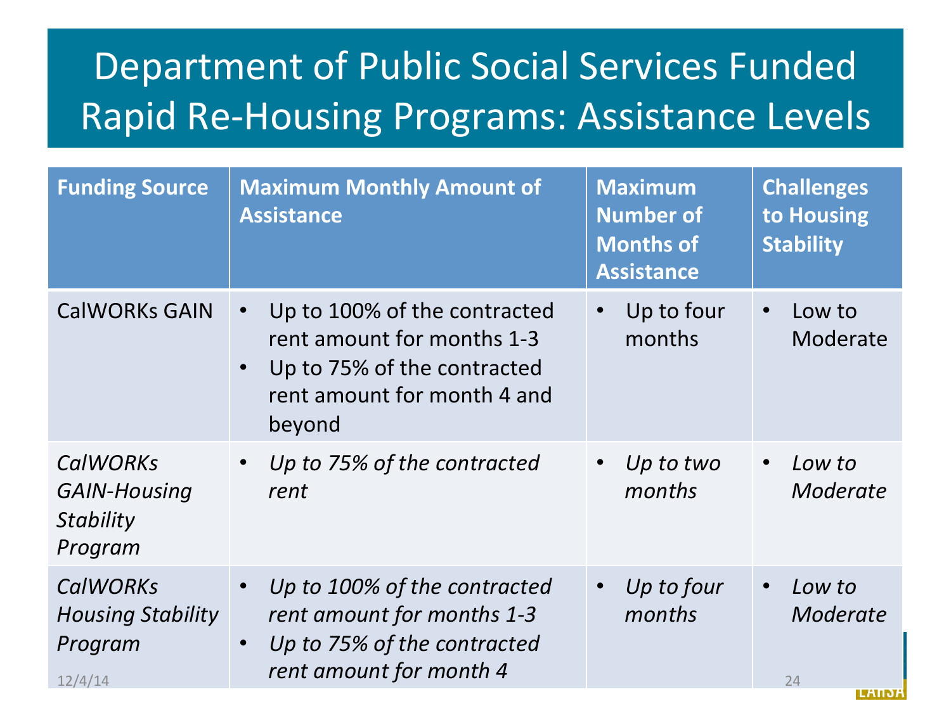### Department of Public Social Services Funded Rapid Re-Housing Programs: Assistance Levels

| <b>Funding Source</b>                                                 | <b>Maximum Monthly Amount of</b><br><b>Assistance</b>                                                                                           | <b>Maximum</b><br><b>Number of</b><br><b>Months of</b><br><b>Assistance</b> | <b>Challenges</b><br>to Housing<br><b>Stability</b> |
|-----------------------------------------------------------------------|-------------------------------------------------------------------------------------------------------------------------------------------------|-----------------------------------------------------------------------------|-----------------------------------------------------|
| <b>CalWORKs GAIN</b>                                                  | Up to 100% of the contracted<br>$\bullet$<br>rent amount for months 1-3<br>Up to 75% of the contracted<br>rent amount for month 4 and<br>beyond | Up to four<br>months                                                        | Low to<br>$\bullet$<br>Moderate                     |
| <b>CalWORKs</b><br><b>GAIN-Housing</b><br><b>Stability</b><br>Program | Up to 75% of the contracted<br>rent                                                                                                             | Up to two<br>$\bullet$<br>months                                            | Low to<br>$\bullet$<br>Moderate                     |
| <b>CalWORKs</b><br><b>Housing Stability</b><br>Program<br>12/4/14     | Up to 100% of the contracted<br>rent amount for months 1-3<br>Up to 75% of the contracted<br>rent amount for month 4                            | Up to four<br>months                                                        | Low to<br>$\bullet$<br>Moderate<br>24<br>ІЕАПОМ     |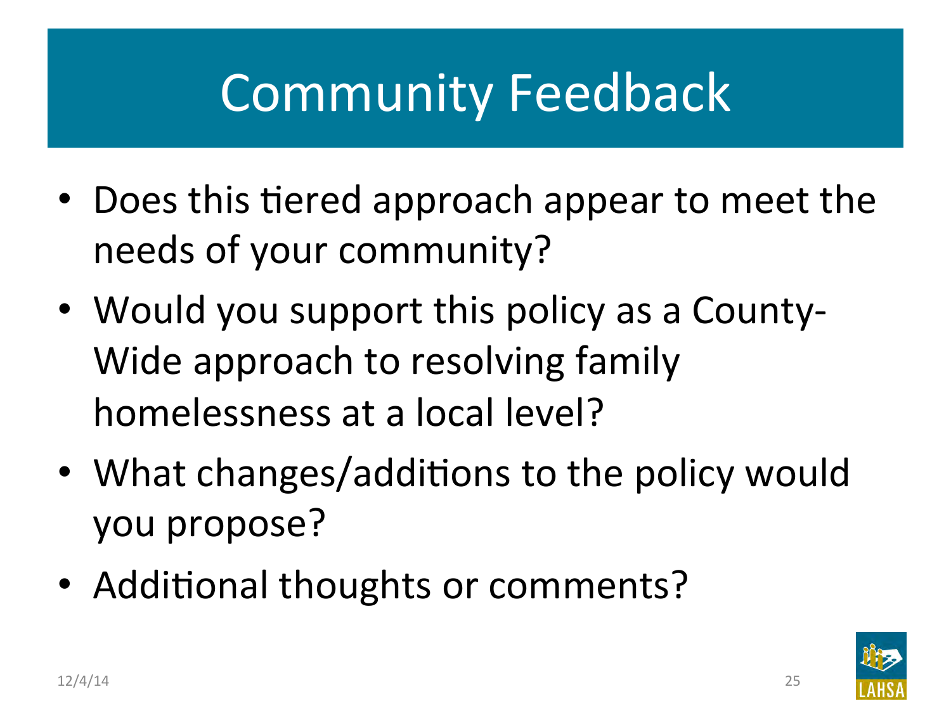# Community Feedback

- Does this tiered approach appear to meet the needs of your community?
- Would you support this policy as a County-Wide approach to resolving family homelessness at a local level?
- What changes/additions to the policy would you propose?
- Additional thoughts or comments?

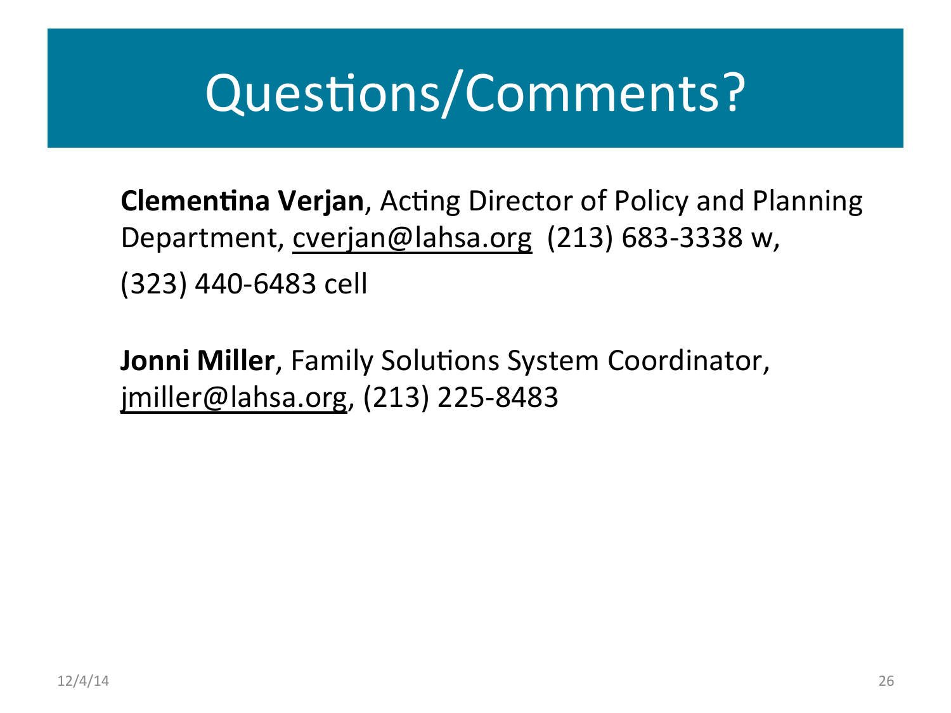## Questions/Comments?

**Clementina Verjan**, Acting Director of Policy and Planning Department, cverjan@lahsa.org (213) 683-3338 w, (323) 440-6483 cell 

**Jonni Miller**, Family Solutions System Coordinator, jmiller@lahsa.org, (213) 225-8483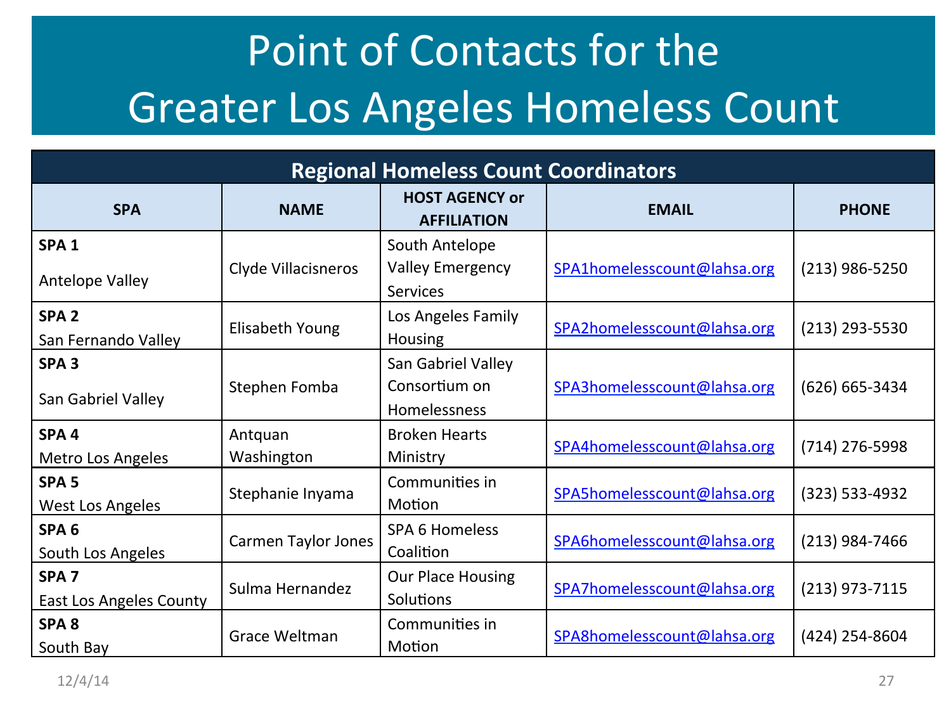### Point of Contacts for the **Greater Los Angeles Homeless Count**

| <b>Regional Homeless Count Coordinators</b> |                            |                                             |                             |                  |  |
|---------------------------------------------|----------------------------|---------------------------------------------|-----------------------------|------------------|--|
| <b>SPA</b>                                  | <b>NAME</b>                | <b>HOST AGENCY or</b><br><b>AFFILIATION</b> | <b>EMAIL</b>                | <b>PHONE</b>     |  |
| SPA <sub>1</sub>                            |                            | South Antelope                              |                             |                  |  |
| <b>Antelope Valley</b>                      | Clyde Villacisneros        | <b>Valley Emergency</b><br><b>Services</b>  | SPA1homelesscount@lahsa.org | $(213)$ 986-5250 |  |
| SPA <sub>2</sub>                            |                            | Los Angeles Family                          |                             |                  |  |
| San Fernando Valley                         | Elisabeth Young            | <b>Housing</b>                              | SPA2homelesscount@lahsa.org | (213) 293-5530   |  |
| SPA <sub>3</sub>                            |                            | San Gabriel Valley                          |                             |                  |  |
| San Gabriel Valley                          | Stephen Fomba              | Consortium on                               | SPA3homelesscount@lahsa.org | (626) 665-3434   |  |
|                                             |                            | Homelessness                                |                             |                  |  |
| SPA <sub>4</sub>                            | Antquan                    | <b>Broken Hearts</b>                        | SPA4homelesscount@lahsa.org | (714) 276-5998   |  |
| <b>Metro Los Angeles</b>                    | Washington                 | Ministry                                    |                             |                  |  |
| SPA <sub>5</sub>                            | Stephanie Inyama           | Communities in                              | SPA5homelesscount@lahsa.org | (323) 533-4932   |  |
| <b>West Los Angeles</b>                     |                            | Motion                                      |                             |                  |  |
| SPA <sub>6</sub>                            |                            | SPA 6 Homeless                              |                             |                  |  |
| South Los Angeles                           | <b>Carmen Taylor Jones</b> | Coalition                                   | SPA6homelesscount@lahsa.org | $(213)$ 984-7466 |  |
| SPA <sub>7</sub>                            | Sulma Hernandez            | <b>Our Place Housing</b>                    |                             |                  |  |
| <b>East Los Angeles County</b>              |                            | <b>Solutions</b>                            | SPA7homelesscount@lahsa.org | (213) 973-7115   |  |
| SPA <sub>8</sub>                            |                            | Communities in                              |                             |                  |  |
| South Bay                                   | <b>Grace Weltman</b>       | Motion                                      | SPA8homelesscount@lahsa.org | (424) 254-8604   |  |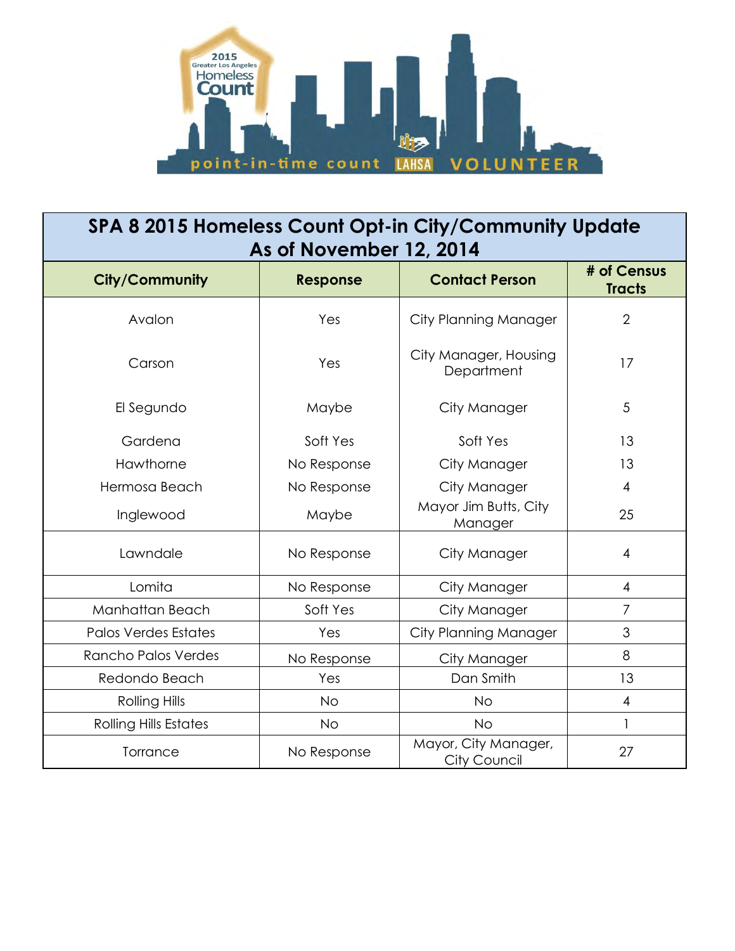

**SPA 8 2015 Homeless Count Opt-in City/Community Update As of November 12, 2014**

| <b>City/Community</b>        | Response    | <b>Contact Person</b>                | # of Census<br><b>Tracts</b> |
|------------------------------|-------------|--------------------------------------|------------------------------|
| Avalon                       | Yes         | City Planning Manager                | $\overline{2}$               |
| Carson                       | Yes         | City Manager, Housing<br>Department  | 17                           |
| El Segundo                   | Maybe       | City Manager                         | 5                            |
| Gardena                      | Soft Yes    | Soft Yes                             | 13                           |
| Hawthorne                    | No Response | City Manager                         | 13                           |
| Hermosa Beach                | No Response | City Manager                         | 4                            |
| Inglewood                    | Maybe       | Mayor Jim Butts, City<br>Manager     | 25                           |
| Lawndale                     | No Response | City Manager                         | 4                            |
| Lomita                       | No Response | City Manager                         | 4                            |
| Manhattan Beach              | Soft Yes    | City Manager                         | 7                            |
| <b>Palos Verdes Estates</b>  | Yes         | <b>City Planning Manager</b>         | 3                            |
| <b>Rancho Palos Verdes</b>   | No Response | City Manager                         | 8                            |
| Redondo Beach                | Yes         | Dan Smith                            | 13                           |
| <b>Rolling Hills</b>         | <b>No</b>   | <b>No</b>                            | $\overline{4}$               |
| <b>Rolling Hills Estates</b> | <b>No</b>   | <b>No</b>                            | $\mathbf{1}$                 |
| Torrance                     | No Response | Mayor, City Manager,<br>City Council | 27                           |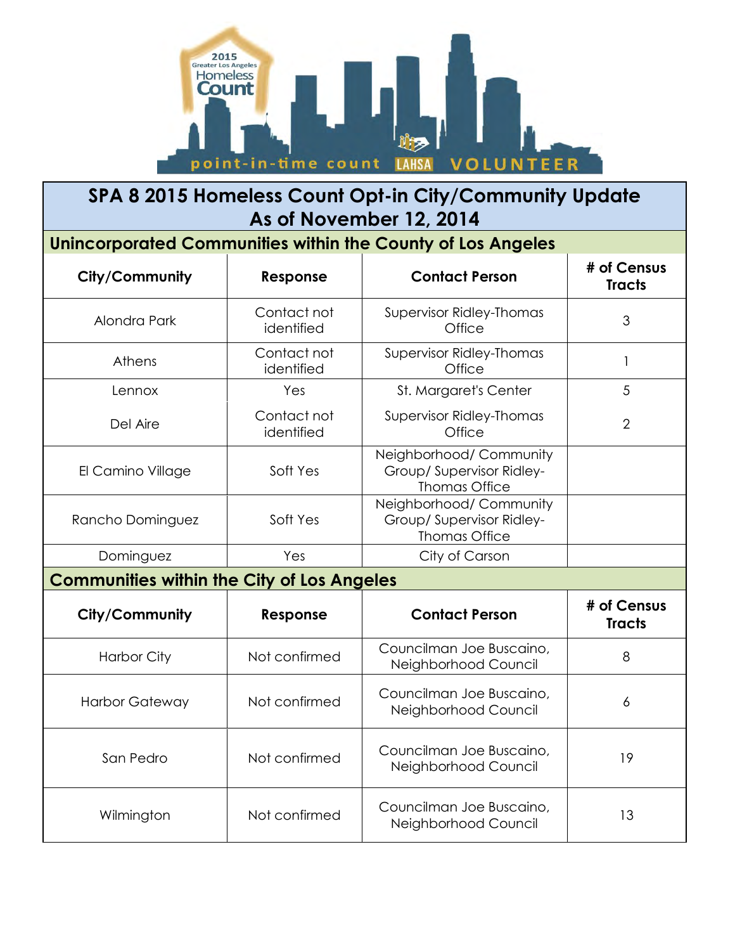

#### **SPA 8 2015 Homeless Count Opt-in City/Community Update As of November 12, 2014**

#### **Unincorporated Communities within the County of Los Angeles**

| <b>City/Community</b>                             | Response                  | <b>Contact Person</b>                                                       | # of Census<br><b>Tracts</b> |
|---------------------------------------------------|---------------------------|-----------------------------------------------------------------------------|------------------------------|
| Alondra Park                                      | Contact not<br>identified | Supervisor Ridley-Thomas<br>Office                                          | 3                            |
| Athens                                            | Contact not<br>identified | Supervisor Ridley-Thomas<br>Office                                          | 1                            |
| Lennox                                            | Yes                       | St. Margaret's Center                                                       | 5                            |
| Del Aire                                          | Contact not<br>identified | Supervisor Ridley-Thomas<br>Office                                          | $\overline{2}$               |
| El Camino Village                                 | Soft Yes                  | Neighborhood/ Community<br>Group/Supervisor Ridley-<br><b>Thomas Office</b> |                              |
| Rancho Dominguez                                  | Soft Yes                  | Neighborhood/ Community<br>Group/Supervisor Ridley-<br><b>Thomas Office</b> |                              |
| Dominguez                                         | Yes                       | City of Carson                                                              |                              |
| <b>Communities within the City of Los Angeles</b> |                           |                                                                             |                              |
| City/Community                                    | Response                  | <b>Contact Person</b>                                                       | # of Census<br><b>Tracts</b> |
| <b>Harbor City</b>                                | Not confirmed             | Councilman Joe Buscaino,<br>Neighborhood Council                            | 8                            |
| <b>Harbor Gateway</b>                             | Not confirmed             | Councilman Joe Buscaino,<br>Neighborhood Council                            | 6                            |
| San Pedro                                         | Not confirmed             | Councilman Joe Buscaino,<br>Neighborhood Council                            | 19                           |
| Wilmington                                        | Not confirmed             | Councilman Joe Buscaino,<br>Neighborhood Council                            | 13                           |